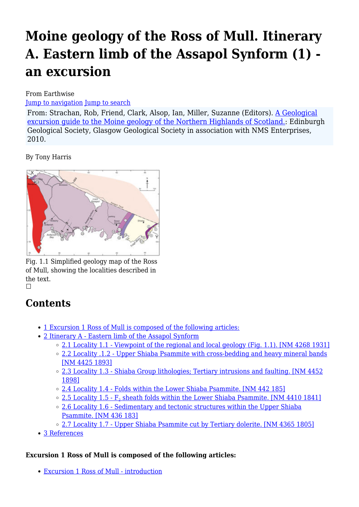# **Moine geology of the Ross of Mull. Itinerary A. Eastern limb of the Assapol Synform (1) an excursion**

From Earthwise

[Jump to navigation](#page--1-0) [Jump to search](#page--1-0)

From: Strachan, Rob, Friend, Clark, Alsop, Ian, Miller, Suzanne (Editors). [A Geological](http://earthwise.bgs.ac.uk/index.php/Excursion_guide_to_the_Moine_geology_of_the_Northern_Highlands_of_Scotland) [excursion guide to the Moine geology of the Northern Highlands of Scotland.:](http://earthwise.bgs.ac.uk/index.php/Excursion_guide_to_the_Moine_geology_of_the_Northern_Highlands_of_Scotland) Edinburgh Geological Society, Glasgow Geological Society in association with NMS Enterprises, 2010.

By Tony Harris



Fig. 1.1 Simplified geology map of the Ross of Mull, showing the localities described in the text.  $\Box$ 

## **Contents**

- [1](#page--1-0) [Excursion 1 Ross of Mull is composed of the following articles:](#page--1-0)
- [2](#page--1-0) [Itinerary A Eastern limb of the Assapol Synform](#page--1-0)
	- <sup>o</sup> [2.1](#Locality_1.1_-_Viewpoint_of_the_regional_and_local_geology_.28Fig._1.1.29._.5BNM_4268_1931.5D) [Locality 1.1 Viewpoint of the regional and local geology \(Fig. 1.1\). \[NM 4268 1931\]](#Locality_1.1_-_Viewpoint_of_the_regional_and_local_geology_.28Fig._1.1.29._.5BNM_4268_1931.5D)
	- [2.2](#Locality_.1.2_-_Upper_Shiaba_Psammite_with_cross-bedding_and_heavy_mineral_bands_.5BNM_4425_1893.5D) [Locality .1.2 Upper Shiaba Psammite with cross-bedding and heavy mineral bands](#Locality_.1.2_-_Upper_Shiaba_Psammite_with_cross-bedding_and_heavy_mineral_bands_.5BNM_4425_1893.5D) [\[NM 4425 1893\]](#Locality_.1.2_-_Upper_Shiaba_Psammite_with_cross-bedding_and_heavy_mineral_bands_.5BNM_4425_1893.5D)
	- <sup>o</sup> [2.3](#Locality_1.3_-_Shiaba_Group_lithologies.3B_Tertiary_intrusions_and_faulting._.5BNM_4452_1898.5D) [Locality 1.3 Shiaba Group lithologies; Tertiary intrusions and faulting. \[NM 4452](#Locality_1.3_-_Shiaba_Group_lithologies.3B_Tertiary_intrusions_and_faulting._.5BNM_4452_1898.5D) [1898\]](#Locality_1.3_-_Shiaba_Group_lithologies.3B_Tertiary_intrusions_and_faulting._.5BNM_4452_1898.5D)
	- [2.4](#Locality_1.4_-_Folds_within_the_Lower_Shiaba_Psammite._.5BNM_442_185.5D) [Locality 1.4 Folds within the Lower Shiaba Psammite. \[NM 442 185\]](#Locality_1.4_-_Folds_within_the_Lower_Shiaba_Psammite._.5BNM_442_185.5D)
	- <u>[2.5](#Locality_1.5_-_F2_sheath_folds_within_the_Lower_Shiaba_Psammite._.5BNM_4410_1841.5D) Locality 1.5  $\mathrm{F}_2$  $\mathrm{F}_2$  [sheath folds within the Lower Shiaba Psammite. \[NM 4410 1841\]](#Locality_1.5_-_F2_sheath_folds_within_the_Lower_Shiaba_Psammite._.5BNM_4410_1841.5D)</u>
	- $\degree$  [2.6](#Locality_1.6_-_Sedimentary_and_tectonic_structures_within_the_Upper_Shiaba_Psammite._.5BNM_436_183.5D) [Locality 1.6 Sedimentary and tectonic structures within the Upper Shiaba](#Locality_1.6_-_Sedimentary_and_tectonic_structures_within_the_Upper_Shiaba_Psammite._.5BNM_436_183.5D) [Psammite. \[NM 436 183\]](#Locality_1.6_-_Sedimentary_and_tectonic_structures_within_the_Upper_Shiaba_Psammite._.5BNM_436_183.5D)
	- [2.7](#Locality_1.7_-_Upper_Shiaba_Psammite_cut_by_Tertiary_dolerite._.5BNM_4365_1805.5D) [Locality 1.7 Upper Shiaba Psammite cut by Tertiary dolerite. \[NM 4365 1805\]](#Locality_1.7_-_Upper_Shiaba_Psammite_cut_by_Tertiary_dolerite._.5BNM_4365_1805.5D)
- [3](#page--1-0) [References](#page--1-0)

#### **Excursion 1 Ross of Mull is composed of the following articles:**

[Excursion 1 Ross of Mull - introduction](http://earthwise.bgs.ac.uk/index.php/Moine_geology_of_the_Ross_of_Mull_-_an_excursion)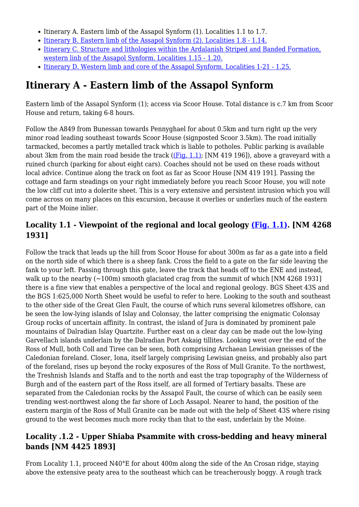- Itinerary A. Eastern limb of the Assapol Synform (1). Localities 1.1 to 1.7.
- [Itinerary B. Eastern limb of the Assapol Synform \(2\). Localities 1.8 1.14.](http://earthwise.bgs.ac.uk/index.php/Moine_geology_of_the_Ross_of_Mull._Itinerary_B._Eastern_limb_of_the_Assapol_Synform_(2)_-_an_excursion)
- [Itinerary C. Structure and lithologies within the Ardalanish Striped and Banded Formation,](http://earthwise.bgs.ac.uk/index.php/Moine_geology_of_the_Ross_of_Mull._Itinerary_C._Structure_and_lithologies_within_the_Ardalanish_Striped_and_Banded_Formation,_western_linb_of_the_Assapol_Synform_-_an_excursion) [western linb of the Assapol Synform. Localities 1.15 - 1.20.](http://earthwise.bgs.ac.uk/index.php/Moine_geology_of_the_Ross_of_Mull._Itinerary_C._Structure_and_lithologies_within_the_Ardalanish_Striped_and_Banded_Formation,_western_linb_of_the_Assapol_Synform_-_an_excursion)
- [Itinerary D. Western limb and core of the Assapol Synform. Localities 1-21 1.25.](http://earthwise.bgs.ac.uk/index.php/Moine_geology_of_the_Ross_of_Mull._Itinerary_D._Western_limb_and_core_of_the_Assapol_Synform_-_an_excursion)

## **Itinerary A - Eastern limb of the Assapol Synform**

Eastern limb of the Assapol Synform (1); access via Scoor House. Total distance is c.7 km from Scoor House and return, taking 6-8 hours.

Follow the A849 from Bunessan towards Pennyghael for about 0.5km and turn right up the very minor road leading southeast towards Scoor House (signposted Scoor 3.5km). The road initially tarmacked, becomes a partly metalled track which is liable to potholes. Public parking is available about 3km from the main road beside the track  $($ [Fig. 1.1); [NM 419 196]), above a graveyard with a ruined church (parking for about eight cars). Coaches should not be used on these roads without local advice. Continue along the track on foot as far as Scoor House [NM 419 191]. Passing the cottage and farm steadings on your right immediately before you reach Scoor House, you will note the low cliff cut into a dolerite sheet. This is a very extensive and persistent intrusion which you will come across on many places on this excursion, because it overlies or underlies much of the eastern part of the Moine inlier.

#### **Locality 1.1 - Viewpoint of the regional and local geology [\(Fig. 1.1\).](http://earthwise.bgs.ac.uk/images/6/65/EGS_MOI_Fig_01_01.jpg) [NM 4268 1931]**

Follow the track that leads up the hill from Scoor House for about 300m as far as a gate into a field on the north side of which there is a sheep fank. Cross the field to a gate on the far side leaving the fank to your left. Passing through this gate, leave the track that heads off to the ENE and instead, walk up to the nearby  $(-100m)$  smooth glaciated crag from the summit of which [NM 4268 1931] there is a fine view that enables a perspective of the local and regional geology. BGS Sheet 43S and the BGS 1:625,000 North Sheet would be useful to refer to here. Looking to the south and southeast to the other side of the Great Glen Fault, the course of which runs several kilometres offshore, can be seen the low-lying islands of Islay and Colonsay, the latter comprising the enigmatic Colonsay Group rocks of uncertain affinity. In contrast, the island of Jura is dominated by prominent pale mountains of Dalradian Islay Quartzite. Further east on a clear day can be made out the low-lying Garvellach islands underlain by the Dalradian Port Askaig tillites. Looking west over the end of the Ross of Mull, both Coll and Tiree can be seen, both comprising Archaean Lewisian gneisses of the Caledonian foreland. Closer, Iona, itself largely comprising Lewisian gneiss, and probably also part of the foreland, rises up beyond the rocky exposures of the Ross of Mull Granite. To the northwest, the Treshnish Islands and Staffa and to the north and east the trap topography of the Wilderness of Burgh and of the eastern part of the Ross itself, are all formed of Tertiary basalts. These are separated from the Caledonian rocks by the Assapol Fault, the course of which can be easily seen trending west-northwest along the far shore of Loch Assapol. Nearer to hand, the position of the eastern margin of the Ross of Mull Granite can be made out with the help of Sheet 43S where rising ground to the west becomes much more rocky than that to the east, underlain by the Moine.

#### **Locality .1.2 - Upper Shiaba Psammite with cross-bedding and heavy mineral bands [NM 4425 1893]**

From Locality 1.1, proceed N40°E for about 400m along the side of the An Crosan ridge, staying above the extensive peaty area to the southeast which can be treacherously boggy. A rough track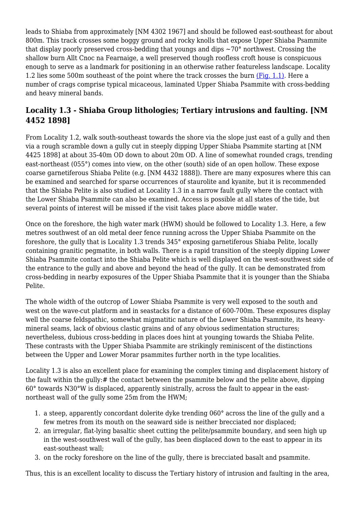leads to Shiaba from approximately [NM 4302 1967] and should be followed east-southeast for about 800m. This track crosses some boggy ground and rocky knolls that expose Upper Shiaba Psammite that display poorly preserved cross-bedding that youngs and dips  $\sim 70^{\circ}$  northwest. Crossing the shallow burn Allt Cnoc na Fearnaige, a well preserved though roofless croft house is conspicuous enough to serve as a landmark for positioning in an otherwise rather featureless landscape. Locality 1.2 lies some 500m southeast of the point where the track crosses the burn [\(Fig. 1.1\)](http://earthwise.bgs.ac.uk/images/6/65/EGS_MOI_Fig_01_01.jpg). Here a number of crags comprise typical micaceous, laminated Upper Shiaba Psammite with cross-bedding and heavy mineral bands.

#### **Locality 1.3 - Shiaba Group lithologies; Tertiary intrusions and faulting. [NM 4452 1898]**

From Locality 1.2, walk south-southeast towards the shore via the slope just east of a gully and then via a rough scramble down a gully cut in steeply dipping Upper Shiaba Psammite starting at [NM 4425 1898] at about 35-40m OD down to about 20m OD. A line of somewhat rounded crags, trending east-northeast (055°) comes into view, on the other (south) side of an open hollow. These expose coarse garnetiferous Shiaba Pelite (e.g. [NM 4432 1888]). There are many exposures where this can be examined and searched for sparse occurrences of staurolite and kyanite, but it is recommended that the Shiaba Pelite is also studied at Locality 1.3 in a narrow fault gully where the contact with the Lower Shiaba Psammite can also be examined. Access is possible at all states of the tide, but several points of interest will be missed if the visit takes place above middle water.

Once on the foreshore, the high water mark (HWM) should be followed to Locality 1.3. Here, a few metres southwest of an old metal deer fence running across the Upper Shiaba Psammite on the foreshore, the gully that is Locality 1.3 trends 345° exposing garnetiferous Shiaba Pelite, locally containing granitic pegmatite, in both walls. There is a rapid transition of the steeply dipping Lower Shiaba Psammite contact into the Shiaba Pelite which is well displayed on the west-southwest side of the entrance to the gully and above and beyond the head of the gully. It can be demonstrated from cross-bedding in nearby exposures of the Upper Shiaba Psammite that it is younger than the Shiaba Pelite.

The whole width of the outcrop of Lower Shiaba Psammite is very well exposed to the south and west on the wave-cut platform and in seastacks for a distance of 600-700m. These exposures display well the coarse feldspathic, somewhat migmatitic nature of the Lower Shiaba Psammite, its heavymineral seams, lack of obvious clastic grains and of any obvious sedimentation structures; nevertheless, dubious cross-bedding in places does hint at younging towards the Shiaba Pelite. These contrasts with the Upper Shiaba Psammite are strikingly reminiscent of the distinctions between the Upper and Lower Morar psammites further north in the type localities.

Locality 1.3 is also an excellent place for examining the complex timing and displacement history of the fault within the gully:# the contact between the psammite below and the pelite above, dipping 60° towards N30°W is displaced, apparently sinistrally, across the fault to appear in the eastnortheast wall of the gully some 25m from the HWM;

- 1. a steep, apparently concordant dolerite dyke trending 060° across the line of the gully and a few metres from its mouth on the seaward side is neither brecciated nor displaced;
- 2. an irregular, flat-lying basaltic sheet cutting the pelite/psammite boundary, and seen high up in the west-southwest wall of the gully, has been displaced down to the east to appear in its east-southeast wall;
- 3. on the rocky foreshore on the line of the gully, there is brecciated basalt and psammite.

Thus, this is an excellent locality to discuss the Tertiary history of intrusion and faulting in the area,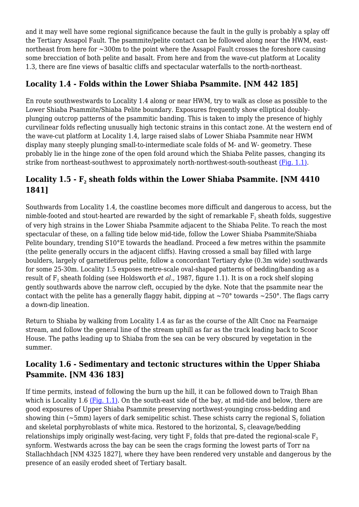and it may well have some regional significance because the fault in the gully is probably a splay off the Tertiary Assapol Fault. The psammite/pelite contact can be followed along near the HWM, eastnortheast from here for ~300m to the point where the Assapol Fault crosses the foreshore causing some brecciation of both pelite and basalt. From here and from the wave-cut platform at Locality 1.3, there are fine views of basaltic cliffs and spectacular waterfalls to the north-northeast.

#### **Locality 1.4 - Folds within the Lower Shiaba Psammite. [NM 442 185]**

En route southwestwards to Locality 1.4 along or near HWM, try to walk as close as possible to the Lower Shiaba Psammite/Shiaba Pelite boundary. Exposures frequently show elliptical doublyplunging outcrop patterns of the psammitic banding. This is taken to imply the presence of highly curvilinear folds reflecting unusually high tectonic strains in this contact zone. At the western end of the wave-cut platform at Locality 1.4, large raised slabs of Lower Shiaba Psammite near HWM display many steeply plunging small-to-intermediate scale folds of M- and W- geometry. These probably lie in the hinge zone of the open fold around which the Shiaba Pelite passes, changing its strike from northeast-southwest to approximately north-northwest-south-southeast [\(Fig. 1.1\)](http://earthwise.bgs.ac.uk/images/6/65/EGS_MOI_Fig_01_01.jpg).

#### **Locality 1.5 - F<sup>2</sup> sheath folds within the Lower Shiaba Psammite. [NM 4410 1841]**

Southwards from Locality 1.4, the coastline becomes more difficult and dangerous to access, but the nimble-footed and stout-hearted are rewarded by the sight of remarkable  $\boldsymbol{\mathrm{F}}_2$  sheath folds, suggestive of very high strains in the Lower Shiaba Psammite adjacent to the Shiaba Pelite. To reach the most spectacular of these, on a falling tide below mid-tide, follow the Lower Shiaba Psammite/Shiaba Pelite boundary, trending S10°E towards the headland. Proceed a few metres within the psammite (the pelite generally occurs in the adjacent cliffs). Having crossed a small bay filled with large boulders, largely of garnetiferous pelite, follow a concordant Tertiary dyke (0.3m wide) southwards for some 25-30m. Locality 1.5 exposes metre-scale oval-shaped patterns of bedding/banding as a result of F<sub>2</sub> sheath folding (see Holdsworth *et al*., 1987, figure 1.1). It is on a rock shelf sloping gently southwards above the narrow cleft, occupied by the dyke. Note that the psammite near the contact with the pelite has a generally flaggy habit, dipping at  $\sim 70^{\circ}$  towards  $\sim 250^{\circ}$ . The flags carry a down-dip lineation.

Return to Shiaba by walking from Locality 1.4 as far as the course of the Allt Cnoc na Fearnaige stream, and follow the general line of the stream uphill as far as the track leading back to Scoor House. The paths leading up to Shiaba from the sea can be very obscured by vegetation in the summer.

#### **Locality 1.6 - Sedimentary and tectonic structures within the Upper Shiaba Psammite. [NM 436 183]**

If time permits, instead of following the burn up the hill, it can be followed down to Traigh Bhan which is Locality 1.6 ( $Fig. 1.1$ ). On the south-east side of the bay, at mid-tide and below, there are good exposures of Upper Shiaba Psammite preserving northwest-younging cross-bedding and showing thin (~5mm) layers of dark semipelitic schist. These schists carry the regional  $\mathsf{S}_\mathsf{2}$  foliation and skeletal porphyroblasts of white mica. Restored to the horizontal,  $\mathsf{S}_2$  cleavage/bedding relationships imply originally west-facing, very tight  $\text{F}_\text{2}$  folds that pre-dated the regional-scale  $\text{F}_\text{3}$ synform. Westwards across the bay can be seen the crags forming the lowest parts of Torr na Stallachhdach [NM 4325 1827], where they have been rendered very unstable and dangerous by the presence of an easily eroded sheet of Tertiary basalt.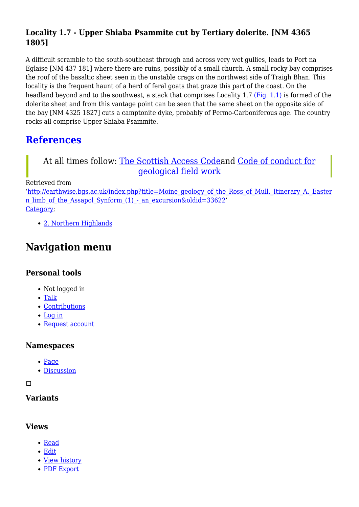### **Locality 1.7 - Upper Shiaba Psammite cut by Tertiary dolerite. [NM 4365 1805]**

A difficult scramble to the south-southeast through and across very wet gullies, leads to Port na Eglaise [NM 437 181] where there are ruins, possibly of a small church. A small rocky bay comprises the roof of the basaltic sheet seen in the unstable crags on the northwest side of Traigh Bhan. This locality is the frequent haunt of a herd of feral goats that graze this part of the coast. On the headland beyond and to the southwest, a stack that comprises Locality 1.7 [\(Fig. 1.1\)](http://earthwise.bgs.ac.uk/images/6/65/EGS_MOI_Fig_01_01.jpg) is formed of the dolerite sheet and from this vantage point can be seen that the same sheet on the opposite side of the bay [NM 4325 1827] cuts a camptonite dyke, probably of Permo-Carboniferous age. The country rocks all comprise Upper Shiaba Psammite.

## **[References](http://earthwise.bgs.ac.uk/index.php/Excursion_guide_to_the_Moine_geology_of_the_Northern_Highlands_of_Scotland#References)**

#### At all times follow: [The Scottish Access Codea](http://www.outdooraccess-scotland.com/the-act-and-the-code/introduction)nd [Code of conduct for](https://www.scottishgeology.com/where-to-go/geological-fieldwork-code/) [geological field work](https://www.scottishgeology.com/where-to-go/geological-fieldwork-code/)

Retrieved from

'[http://earthwise.bgs.ac.uk/index.php?title=Moine\\_geology\\_of\\_the\\_Ross\\_of\\_Mull.\\_Itinerary\\_A.\\_Easter](http://earthwise.bgs.ac.uk/index.php?title=Moine_geology_of_the_Ross_of_Mull._Itinerary_A._Eastern_limb_of_the_Assapol_Synform_(1)_-_an_excursion&oldid=33622) n\_limb\_of\_the\_Assapol\_Synform\_(1) - an\_excursion&oldid=33622' [Category](http://earthwise.bgs.ac.uk/index.php/Special:Categories):

[2. Northern Highlands](http://earthwise.bgs.ac.uk/index.php/Category:2._Northern_Highlands)

## **Navigation menu**

#### **Personal tools**

- Not logged in
- [Talk](http://earthwise.bgs.ac.uk/index.php/Special:MyTalk)
- [Contributions](http://earthwise.bgs.ac.uk/index.php/Special:MyContributions)
- [Log in](http://earthwise.bgs.ac.uk/index.php?title=Special:UserLogin&returnto=Moine+geology+of+the+Ross+of+Mull.+Itinerary+A.+Eastern+limb+of+the+Assapol+Synform+%281%29+-+an+excursion&returntoquery=action%3Dmpdf)
- [Request account](http://earthwise.bgs.ac.uk/index.php/Special:RequestAccount)

#### **Namespaces**

- [Page](http://earthwise.bgs.ac.uk/index.php/Moine_geology_of_the_Ross_of_Mull._Itinerary_A._Eastern_limb_of_the_Assapol_Synform_(1)_-_an_excursion)
- [Discussion](http://earthwise.bgs.ac.uk/index.php?title=Talk:Moine_geology_of_the_Ross_of_Mull._Itinerary_A._Eastern_limb_of_the_Assapol_Synform_(1)_-_an_excursion&action=edit&redlink=1)

 $\Box$ 

#### **Variants**

#### **Views**

- [Read](http://earthwise.bgs.ac.uk/index.php/Moine_geology_of_the_Ross_of_Mull._Itinerary_A._Eastern_limb_of_the_Assapol_Synform_(1)_-_an_excursion)
- [Edit](http://earthwise.bgs.ac.uk/index.php?title=Moine_geology_of_the_Ross_of_Mull._Itinerary_A._Eastern_limb_of_the_Assapol_Synform_(1)_-_an_excursion&action=edit)
- [View history](http://earthwise.bgs.ac.uk/index.php?title=Moine_geology_of_the_Ross_of_Mull._Itinerary_A._Eastern_limb_of_the_Assapol_Synform_(1)_-_an_excursion&action=history)
- [PDF Export](http://earthwise.bgs.ac.uk/index.php?title=Moine_geology_of_the_Ross_of_Mull._Itinerary_A._Eastern_limb_of_the_Assapol_Synform_(1)_-_an_excursion&action=mpdf)